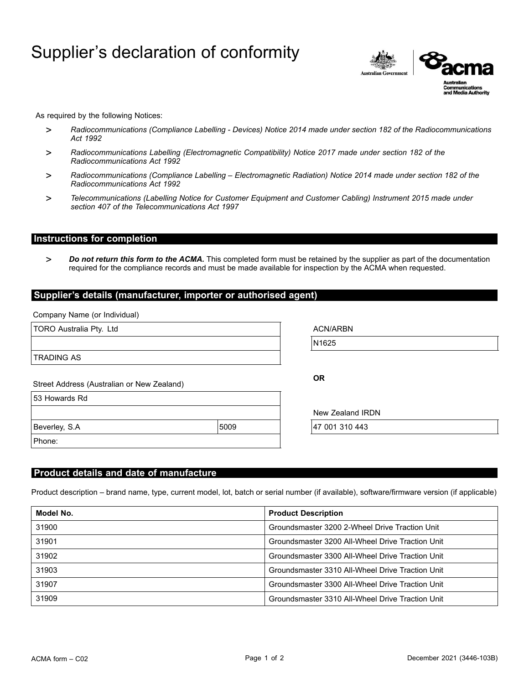# Supplier's declaration of conformity



As required by the following Notices:

- > *Radiocommunications (Compliance Labelling - Devices) Notice 2014 made under section 182 of the Radiocommunications Act 1992*
- > *Radiocommunications Labelling (Electromagnetic Compatibility) Notice 2017 made under section 182 of the Radiocommunications Act 1992*
- > *Radiocommunications (Compliance Labelling – Electromagnetic Radiation) Notice 2014 made under section 182 of the Radiocommunications Act 1992*
- > *Telecommunications (Labelling Notice for Customer Equipment and Customer Cabling) Instrument 2015 made under section 407 of the Telecommunications Act 1997*

## **Instructions for completion**

> *Do not return this form to the ACMA.* This completed form must be retained by the supplier as part of the documentation required for the compliance records and must be made available for inspection by the ACMA when requested.

#### **Supplier's details (manufacturer, importer or authorised agent)**

Company Name (or Individual)

| TORO Australia Pty. Ltd                    |      | <b>ACN/ARBN</b>  |  |
|--------------------------------------------|------|------------------|--|
|                                            |      | N1625            |  |
| <b>TRADING AS</b>                          |      |                  |  |
| Street Address (Australian or New Zealand) |      | <b>OR</b>        |  |
| 53 Howards Rd                              |      |                  |  |
|                                            |      | New Zealand IRDN |  |
| Beverley, S.A                              | 5009 | 47 001 310 443   |  |
| Phone:                                     |      |                  |  |
|                                            |      |                  |  |

### **Product details and date of manufacture**

Product description – brand name, type, current model, lot, batch or serial number (if available), software/firmware version (if applicable)

| Model No. | <b>Product Description</b>                       |  |
|-----------|--------------------------------------------------|--|
| 31900     | Groundsmaster 3200 2-Wheel Drive Traction Unit   |  |
| 31901     | Groundsmaster 3200 All-Wheel Drive Traction Unit |  |
| 31902     | Groundsmaster 3300 All-Wheel Drive Traction Unit |  |
| 31903     | Groundsmaster 3310 All-Wheel Drive Traction Unit |  |
| 31907     | Groundsmaster 3300 All-Wheel Drive Traction Unit |  |
| 31909     | Groundsmaster 3310 All-Wheel Drive Traction Unit |  |